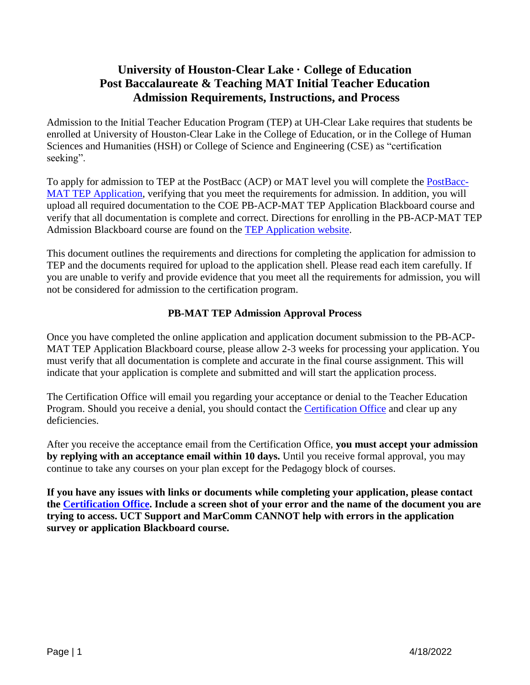## **University of Houston-Clear Lake · College of Education Post Baccalaureate & Teaching MAT Initial Teacher Education Admission Requirements, Instructions, and Process**

Admission to the Initial Teacher Education Program (TEP) at UH-Clear Lake requires that students be enrolled at University of Houston-Clear Lake in the College of Education, or in the College of Human Sciences and Humanities (HSH) or College of Science and Engineering (CSE) as "certification seeking".

To apply for admission to TEP at the PostBacc (ACP) or MAT level you will complete the [PostBacc-](https://uhcl.co1.qualtrics.com/jfe/form/SV_6XTKhNdZumteJQG)[MAT TEP Application,](https://uhcl.co1.qualtrics.com/jfe/form/SV_6XTKhNdZumteJQG) verifying that you meet the requirements for admission. In addition, you will upload all required documentation to the COE PB-ACP-MAT TEP Application Blackboard course and verify that all documentation is complete and correct. Directions for enrolling in the PB-ACP-MAT TEP Admission Blackboard course are found on the [TEP Application website.](https://www.uhcl.edu/education/certification/certification-requirements/teacher-education-program-application)

This document outlines the requirements and directions for completing the application for admission to TEP and the documents required for upload to the application shell. Please read each item carefully. If you are unable to verify and provide evidence that you meet all the requirements for admission, you will not be considered for admission to the certification program.

#### **PB-MAT TEP Admission Approval Process**

Once you have completed the online application and application document submission to the PB-ACP-MAT TEP Application Blackboard course, please allow 2-3 weeks for processing your application. You must verify that all documentation is complete and accurate in the final course assignment. This will indicate that your application is complete and submitted and will start the application process.

The Certification Office will email you regarding your acceptance or denial to the Teacher Education Program. Should you receive a denial, you should contact the [Certification Office](mailto:certification@uhcl.edu?subject=PBACPMAT%20TEP%20Admission) and clear up any deficiencies.

After you receive the acceptance email from the Certification Office, **you must accept your admission by replying with an acceptance email within 10 days.** Until you receive formal approval, you may continue to take any courses on your plan except for the Pedagogy block of courses.

**If you have any issues with links or documents while completing your application, please contact the [Certification Office.](mailto:certification@uhcl.edu) Include a screen shot of your error and the name of the document you are trying to access. UCT Support and MarComm CANNOT help with errors in the application survey or application Blackboard course.**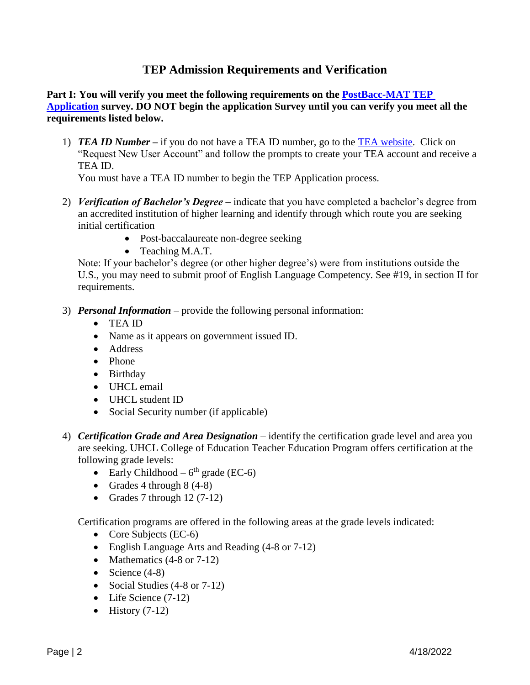## **TEP Admission Requirements and Verification**

#### **Part I: You will verify you meet the following requirements on the [PostBacc-MAT TEP](https://uhcl.co1.qualtrics.com/jfe/form/SV_6XTKhNdZumteJQG)  [Application](https://uhcl.co1.qualtrics.com/jfe/form/SV_6XTKhNdZumteJQG) survey. DO NOT begin the application Survey until you can verify you meet all the requirements listed below.**

1) *TEA ID Number* **–** if you do not have a TEA ID number, go to the [TEA website.](https://tealprod.tea.state.tx.us/) Click on "Request New User Account" and follow the prompts to create your TEA account and receive a TEA ID.

You must have a TEA ID number to begin the TEP Application process.

- 2) *Verification of Bachelor's Degree*  indicate that you have completed a bachelor's degree from an accredited institution of higher learning and identify through which route you are seeking initial certification
	- Post-baccalaureate non-degree seeking
	- Teaching M.A.T.

Note: If your bachelor's degree (or other higher degree's) were from institutions outside the U.S., you may need to submit proof of English Language Competency. See #19, in section II for requirements.

- 3) *Personal Information*  provide the following personal information:
	- TEA ID
	- Name as it appears on government issued ID.
	- Address
	- Phone
	- Birthday
	- UHCL email
	- UHCL student ID
	- Social Security number (if applicable)
- 4) *Certification Grade and Area Designation* identify the certification grade level and area you are seeking. UHCL College of Education Teacher Education Program offers certification at the following grade levels:
	- Early Childhood  $6<sup>th</sup>$  grade (EC-6)
	- Grades 4 through  $8(4-8)$
	- Grades 7 through  $12(7-12)$

Certification programs are offered in the following areas at the grade levels indicated:

- Core Subjects (EC-6)
- English Language Arts and Reading (4-8 or 7-12)
- Mathematics  $(4-8 \text{ or } 7-12)$
- Science  $(4-8)$
- Social Studies (4-8 or 7-12)
- Life Science (7-12)
- History  $(7-12)$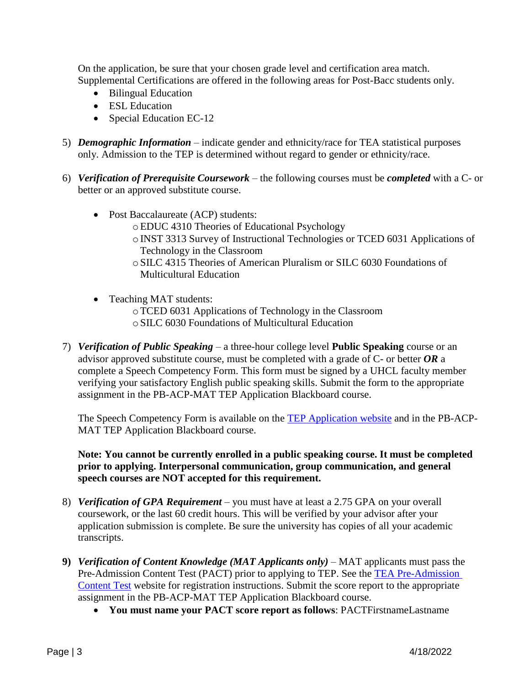On the application, be sure that your chosen grade level and certification area match. Supplemental Certifications are offered in the following areas for Post-Bacc students only.

- Bilingual Education
- ESL Education
- Special Education EC-12
- 5) *Demographic Information* indicate gender and ethnicity/race for TEA statistical purposes only. Admission to the TEP is determined without regard to gender or ethnicity/race.
- 6) *Verification of Prerequisite Coursework* the following courses must be *completed* with a C- or better or an approved substitute course.
	- Post Baccalaureate (ACP) students:
		- oEDUC 4310 Theories of Educational Psychology
		- oINST 3313 Survey of Instructional Technologies or TCED 6031 Applications of Technology in the Classroom
		- oSILC 4315 Theories of American Pluralism or SILC 6030 Foundations of Multicultural Education
	- Teaching MAT students:
		- oTCED 6031 Applications of Technology in the Classroom
		- oSILC 6030 Foundations of Multicultural Education
- 7) *Verification of Public Speaking* a three-hour college level **Public Speaking** course or an advisor approved substitute course, must be completed with a grade of C- or better *OR* a complete a Speech Competency Form. This form must be signed by a UHCL faculty member verifying your satisfactory English public speaking skills. Submit the form to the appropriate assignment in the PB-ACP-MAT TEP Application Blackboard course.

The Speech Competency Form is available on the [TEP Application website](https://www.uhcl.edu/education/certification/certification-requirements/teacher-education-program-application) and in the PB-ACP-MAT TEP Application Blackboard course.

**Note: You cannot be currently enrolled in a public speaking course. It must be completed prior to applying. Interpersonal communication, group communication, and general speech courses are NOT accepted for this requirement.** 

- 8) *Verification of GPA Requirement –* you must have at least a 2.75 GPA on your overall coursework, or the last 60 credit hours. This will be verified by your advisor after your application submission is complete. Be sure the university has copies of all your academic transcripts.
- **9)** *Verification of Content Knowledge (MAT Applicants only)* MAT applicants must pass the Pre-Admission Content Test (PACT) prior to applying to TEP. See the [TEA Pre-Admission](https://tea.texas.gov/texas-educators/certification/educator-testing/pre-admission-content-test)  [Content Test](https://tea.texas.gov/texas-educators/certification/educator-testing/pre-admission-content-test) website for registration instructions. Submit the score report to the appropriate assignment in the PB-ACP-MAT TEP Application Blackboard course.
	- **You must name your PACT score report as follows**: PACTFirstnameLastname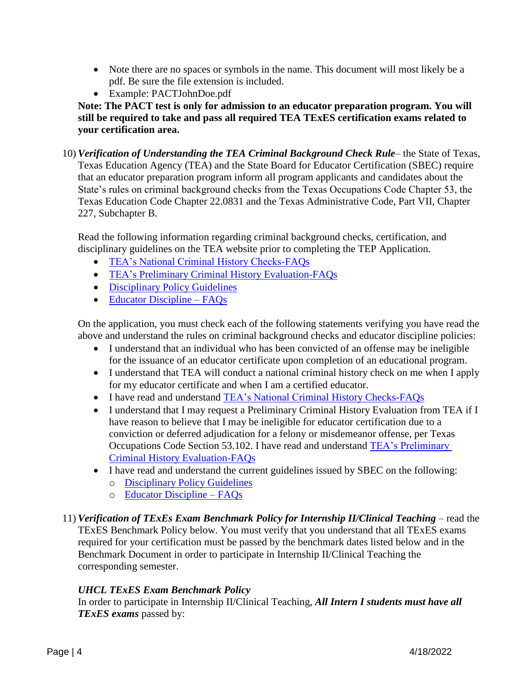- Note there are no spaces or symbols in the name. This document will most likely be a pdf. Be sure the file extension is included.
- Example: PACTJohnDoe.pdf

**Note: The PACT test is only for admission to an educator preparation program. You will still be required to take and pass all required TEA TExES certification exams related to your certification area.** 

10) *Verification of Understanding the TEA Criminal Background Check Rule*– the State of Texas, Texas Education Agency (TEA) and the State Board for Educator Certification (SBEC) require that an educator preparation program inform all program applicants and candidates about the State's rules on criminal background checks from the Texas Occupations Code Chapter 53, the Texas Education Code Chapter 22.0831 and the Texas Administrative Code, Part VII, Chapter 227, Subchapter B.

Read the following information regarding criminal background checks, certification, and disciplinary guidelines on the TEA website prior to completing the TEP Application.

- [TEA's National Criminal History Checks-FAQs](http://tea.texas.gov/Texas_Educators/Investigations/National_Criminal_History_Checks-FAQs/)
- [TEA's Preliminary Criminal History Evaluation-FAQs](https://tea.texas.gov/texas-educators/investigations/preliminary-criminal-history-evaluation-faqs)
- [Disciplinary Policy Guidelines](https://tea.texas.gov/texas-educators/investigations/disciplinary-rules-and-guidelines)
- [Educator Discipline –](https://tea.texas.gov/texas-educators/investigations/disciplinary-actions-taken-against-texas-educators) FAOs

On the application, you must check each of the following statements verifying you have read the above and understand the rules on criminal background checks and educator discipline policies:

- I understand that an individual who has been convicted of an offense may be ineligible for the issuance of an educator certificate upon completion of an educational program.
- I understand that TEA will conduct a national criminal history check on me when I apply for my educator certificate and when I am a certified educator.
- I have read and understand [TEA's National Criminal History Checks-FAQs](http://tea.texas.gov/Texas_Educators/Investigations/National_Criminal_History_Checks-FAQs/)
- I understand that I may request a Preliminary Criminal History Evaluation from TEA if I have reason to believe that I may be ineligible for educator certification due to a conviction or deferred adjudication for a felony or misdemeanor offense, per Texas Occupations Code Section 53.102. I have read and understand **TEA's Preliminary** [Criminal History Evaluation-FAQs](https://tea.texas.gov/texas-educators/investigations/preliminary-criminal-history-evaluation-faqs)
- I have read and understand the current guidelines issued by SBEC on the following: o [Disciplinary Policy Guidelines](https://tea.texas.gov/texas-educators/investigations/disciplinary-rules-and-guidelines)
	- o [Educator Discipline –](https://tea.texas.gov/texas-educators/investigations/disciplinary-actions-taken-against-texas-educators) FAQs
- 11) *Verification of TExEs Exam Benchmark Policy for Internship II/Clinical Teaching –* read the TExES Benchmark Policy below. You must verify that you understand that all TExES exams required for your certification must be passed by the benchmark dates listed below and in the Benchmark Document in order to participate in Internship II/Clinical Teaching the corresponding semester.

### *UHCL TExES Exam Benchmark Policy*

In order to participate in Internship II/Clinical Teaching, *All Intern I students must have all TExES exams* passed by: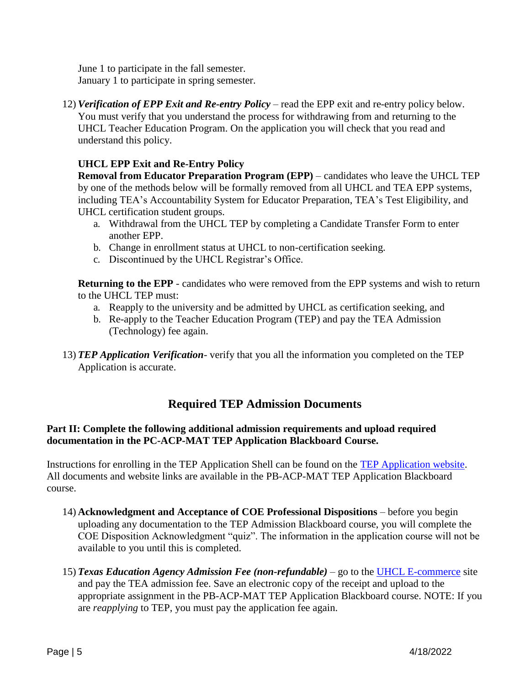June 1 to participate in the fall semester. January 1 to participate in spring semester.

12) *Verification of EPP Exit and Re-entry Policy* – read the EPP exit and re-entry policy below. You must verify that you understand the process for withdrawing from and returning to the UHCL Teacher Education Program. On the application you will check that you read and understand this policy.

### **UHCL EPP Exit and Re-Entry Policy**

**Removal from Educator Preparation Program (EPP)** – candidates who leave the UHCL TEP by one of the methods below will be formally removed from all UHCL and TEA EPP systems, including TEA's Accountability System for Educator Preparation, TEA's Test Eligibility, and UHCL certification student groups.

- a. Withdrawal from the UHCL TEP by completing a Candidate Transfer Form to enter another EPP.
- b. Change in enrollment status at UHCL to non-certification seeking.
- c. Discontinued by the UHCL Registrar's Office.

**Returning to the EPP** - candidates who were removed from the EPP systems and wish to return to the UHCL TEP must:

- a. Reapply to the university and be admitted by UHCL as certification seeking, and
- b. Re-apply to the Teacher Education Program (TEP) and pay the TEA Admission (Technology) fee again.
- 13) *TEP Application Verification* verify that you all the information you completed on the TEP Application is accurate.

### **Required TEP Admission Documents**

#### **Part II: Complete the following additional admission requirements and upload required documentation in the PC-ACP-MAT TEP Application Blackboard Course.**

Instructions for enrolling in the TEP Application Shell can be found on the [TEP Application website.](https://www.uhcl.edu/education/certification/certification-requirements/teacher-education-program-application) All documents and website links are available in the PB-ACP-MAT TEP Application Blackboard course.

- 14) **Acknowledgment and Acceptance of COE Professional Dispositions** before you begin uploading any documentation to the TEP Admission Blackboard course, you will complete the COE Disposition Acknowledgment "quiz". The information in the application course will not be available to you until this is completed.
- 15) *Texas Education Agency Admission Fee (non-refundable)* go to the [UHCL E-commerce](https://apps.uhcl.edu/ECommerce/Schedule/Search?query=tep) site and pay the TEA admission fee. Save an electronic copy of the receipt and upload to the appropriate assignment in the PB-ACP-MAT TEP Application Blackboard course. NOTE: If you are *reapplying* to TEP, you must pay the application fee again.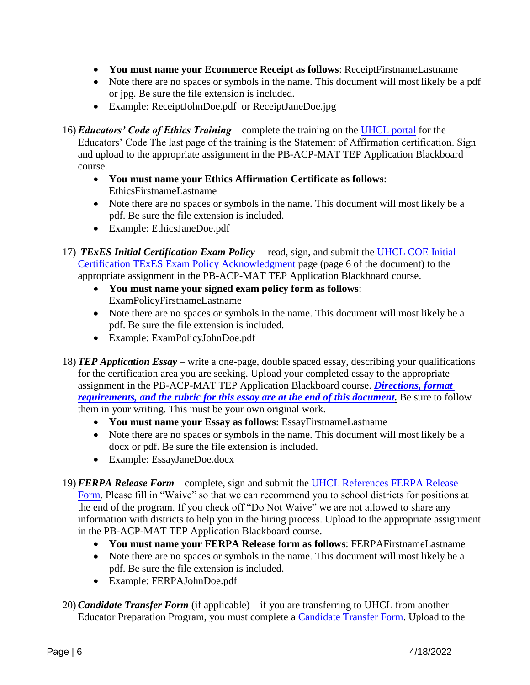- **You must name your Ecommerce Receipt as follows**: ReceiptFirstnameLastname
- Note there are no spaces or symbols in the name. This document will most likely be a pdf or jpg. Be sure the file extension is included.
- Example: ReceiptJohnDoe.pdf or ReceiptJaneDoe.jpg

16) *Educators' Code of Ethics Training* – complete the training on the [UHCL portal](https://apps.uhcl.edu/TEAEthicsTraining/) for the Educators' Code The last page of the training is the Statement of Affirmation certification. Sign and upload to the appropriate assignment in the PB-ACP-MAT TEP Application Blackboard course.

- **You must name your Ethics Affirmation Certificate as follows**: EthicsFirstnameLastname
- Note there are no spaces or symbols in the name. This document will most likely be a pdf. Be sure the file extension is included.
- Example: EthicsJaneDoe.pdf
- 17) *TExES Initial Certification Exam Policy* read, sign, and submit the UHCL [COE Initial](https://www.uhcl.edu/education/certification/state-assessments/documents/intitial-certification-texes-exam-policy.pdf)  [Certification TExES Exam Policy](https://www.uhcl.edu/education/certification/state-assessments/documents/intitial-certification-texes-exam-policy.pdf) Acknowledgment page (page 6 of the document) to the appropriate assignment in the PB-ACP-MAT TEP Application Blackboard course.
	- **You must name your signed exam policy form as follows**: ExamPolicyFirstnameLastname
	- Note there are no spaces or symbols in the name. This document will most likely be a pdf. Be sure the file extension is included.
	- Example: ExamPolicyJohnDoe.pdf
- 18) *TEP Application Essay* write a one-page, double spaced essay, describing your qualifications for the certification area you are seeking. Upload your completed essay to the appropriate assignment in the PB-ACP-MAT TEP Application Blackboard course. *[Directions, format](#page-7-0)  [requirements, and the rubric for this essay are at the end of this document.](#page-7-0)* Be sure to follow them in your writing. This must be your own original work.
	- **You must name your Essay as follows**: EssayFirstnameLastname
	- Note there are no spaces or symbols in the name. This document will most likely be a docx or pdf. Be sure the file extension is included.
	- Example: EssayJaneDoe.docx
- 19) *FERPA Release Form* complete, sign and submit the [UHCL References FERPA Release](https://www.uhcl.edu/education/student-resources/documents/coe-references-ferpa-release-form.pdf)  [Form.](https://www.uhcl.edu/education/student-resources/documents/coe-references-ferpa-release-form.pdf) Please fill in "Waive" so that we can recommend you to school districts for positions at the end of the program. If you check off "Do Not Waive" we are not allowed to share any information with districts to help you in the hiring process. Upload to the appropriate assignment in the PB-ACP-MAT TEP Application Blackboard course.
	- **You must name your FERPA Release form as follows**: FERPAFirstnameLastname
	- Note there are no spaces or symbols in the name. This document will most likely be a pdf. Be sure the file extension is included.
	- Example: FERPAJohnDoe.pdf
- 20) *Candidate Transfer Form* (if applicable) if you are transferring to UHCL from another Educator Preparation Program, you must complete a [Candidate Transfer Form.](https://www.uhcl.edu/education/student-resources/documents/tea-candidate-transfer-form.docx) Upload to the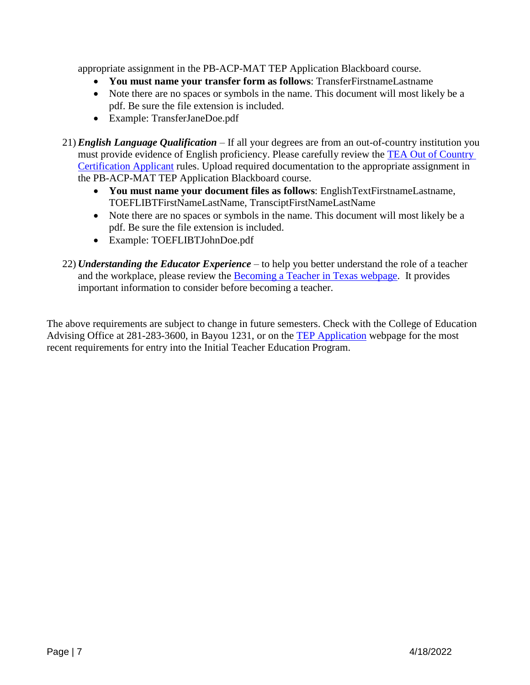appropriate assignment in the PB-ACP-MAT TEP Application Blackboard course.

- **You must name your transfer form as follows**: TransferFirstnameLastname
- Note there are no spaces or symbols in the name. This document will most likely be a pdf. Be sure the file extension is included.
- Example: TransferJaneDoe.pdf
- 21) *English Language Qualification* If all your degrees are from an out-of-country institution you must provide evidence of English proficiency. Please carefully review the [TEA Out of Country](https://tea.texas.gov/sites/default/files/Out%20of%20Country%20Certification%20Information%20Detailed%202017.pdf)  [Certification Applicant](https://tea.texas.gov/sites/default/files/Out%20of%20Country%20Certification%20Information%20Detailed%202017.pdf) rules. Upload required documentation to the appropriate assignment in the PB-ACP-MAT TEP Application Blackboard course.
	- **You must name your document files as follows**: EnglishTextFirstnameLastname, TOEFLIBTFirstNameLastName, TransciptFirstNameLastName
	- Note there are no spaces or symbols in the name. This document will most likely be a pdf. Be sure the file extension is included.
	- Example: TOEFLIBTJohnDoe.pdf
- 22) *Understanding the Educator Experience* to help you better understand the role of a teacher and the workplace, please review the [Becoming a Teacher in Texas webpage.](https://www.uhcl.edu/education/certification/becoming-a-teacher-in-texas) It provides important information to consider before becoming a teacher.

The above requirements are subject to change in future semesters. Check with the College of Education Advising Office at 281-283-3600, in Bayou 1231, or on the [TEP Application](https://www.uhcl.edu/education/certification/certification-requirements/teacher-education-program-application) webpage for the most recent requirements for entry into the Initial Teacher Education Program.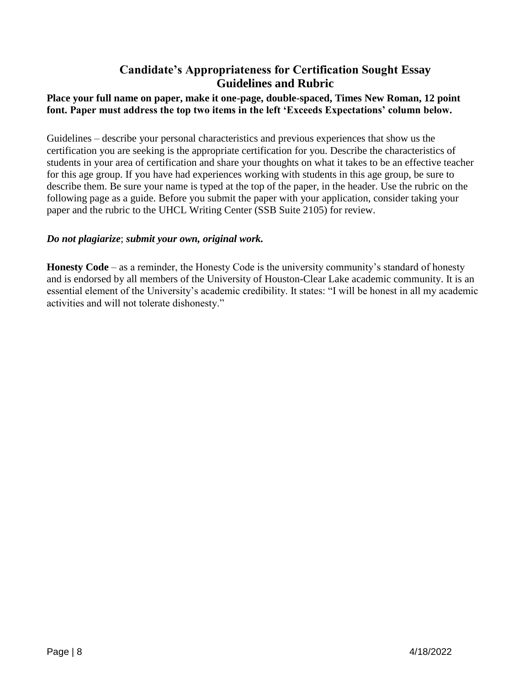## **Candidate's Appropriateness for Certification Sought Essay Guidelines and Rubric**

### <span id="page-7-0"></span>**Place your full name on paper, make it one-page, double-spaced, Times New Roman, 12 point font. Paper must address the top two items in the left 'Exceeds Expectations' column below.**

Guidelines – describe your personal characteristics and previous experiences that show us the certification you are seeking is the appropriate certification for you. Describe the characteristics of students in your area of certification and share your thoughts on what it takes to be an effective teacher for this age group. If you have had experiences working with students in this age group, be sure to describe them. Be sure your name is typed at the top of the paper, in the header. Use the rubric on the following page as a guide. Before you submit the paper with your application, consider taking your paper and the rubric to the UHCL Writing Center (SSB Suite 2105) for review.

#### *Do not plagiarize*; *submit your own, original work.*

**Honesty Code** – as a reminder, the Honesty Code is the university community's standard of honesty and is endorsed by all members of the University of Houston-Clear Lake academic community. It is an essential element of the University's academic credibility. It states: "I will be honest in all my academic activities and will not tolerate dishonesty."